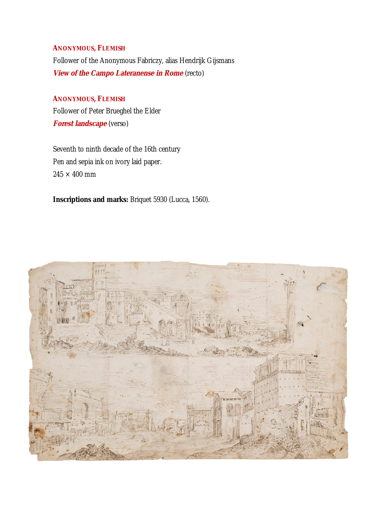## **ANONYMOUS, FLEMISH**

Follower of the Anonymous Fabriczy, alias Hendrijk Gijsmans **View of the Campo Lateranense in Rome** (recto)

**ANONYMOUS, FLEMISH** Follower of Peter Brueghel the Elder **Forest landscape** (verso)

Seventh to ninth decade of the 16th century Pen and sepia ink on ivory laid paper.  $245 \times 400$  mm

**Inscriptions and marks:** Briquet 5930 (Lucca, 1560).

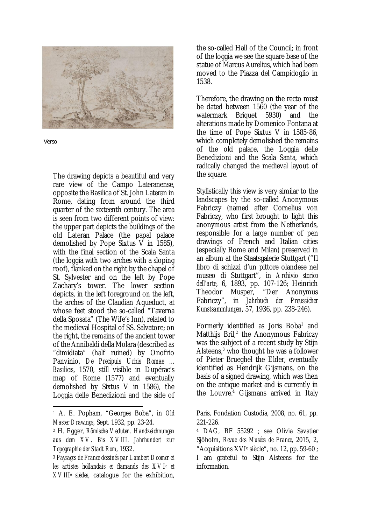

Verso

The drawing depicts a beautiful and very rare view of the Campo Lateranense, opposite the Basilica of St. John Lateran in Rome, dating from around the third quarter of the sixteenth century. The area is seen from two different points of view: the upper part depicts the buildings of the old Lateran Palace (the papal palace demolished by Pope Sixtus V in 1585), with the final section of the Scala Santa (the loggia with two arches with a sloping roof), flanked on the right by the chapel of St. Sylvester and on the left by Pope Zachary's tower. The lower section depicts, in the left foreground on the left, the arches of the Claudian Aqueduct, at whose feet stood the so-called "Taverna della Sposata" (The Wife's Inn), related to the medieval Hospital of SS. Salvatore; on the right, the remains of the ancient tower of the Annibaldi della Molara (described as "dimidiata" (half ruined) by Onofrio Panvinio, *De Precipuis Urbis Romae ... Basilicis*, 1570, still visible in Dupérac's map of Rome (1577) and eventually demolished by Sixtus V in 1586), the Loggia delle Benedizioni and the side of

the so-called Hall of the Council; in front of the loggia we see the square base of the statue of Marcus Aurelius, which had been moved to the Piazza del Campidoglio in 1538.

Therefore, the drawing on the recto must be dated between 1560 (the year of the watermark Briquet 5930) and the alterations made by Domenico Fontana at the time of Pope Sixtus V in 1585-86, which completely demolished the remains of the old palace, the Loggia delle Benedizioni and the Scala Santa, which radically changed the medieval layout of the square.

Stylistically this view is very similar to the landscapes by the so-called Anonymous Fabriczy (named after Cornelius von Fabriczy, who first brought to light this anonymous artist from the Netherlands, responsible for a large number of pen drawings of French and Italian cities (especially Rome and Milan) preserved in an album at the Staatsgalerie Stuttgart ("Il libro di schizzi d'un pittore olandese nel museo di Stuttgart", in *Archivio storico dell'arte*, 6, 1893, pp. 107-126; Heinrich Theodor Musper, "Der Anonymus Fabriczy", in *Jahrbuch der Preussicher Kunstsammlungen*, 57, 1936, pp. 238-246).

Formerly identified as Joris Boba<sup>1</sup> and Matthijs Bril,<sup>2</sup> the Anonymous Fabriczy was the subject of a recent study by Stijn Alsteens, $3$  who thought he was a follower of Pieter Brueghel the Elder, eventually identified as Hendrijk Gijsmans, on the basis of a signed drawing, which was then on the antique market and is currently in the Louvre.<sup>4</sup> Gijsmans arrived in Italy

Paris, Fondation Custodia, 2008, no. 61, pp. 221-226.

<sup>4</sup> DAG, RF 55292 ; see Olivia Savatier Sjöholm, *Revue des Musées de France*, 2015, 2, "Acquisitions XVI<sup>e</sup> siècle", no. 12, pp. 59-60 ; I am grateful to Stijn Alsteens for the information.

<sup>1</sup> A. E. Popham, "Georges Boba", in *Old Master Drawings*, Sept. 1932, pp. 23-24.

<sup>2</sup> H. Egger, *Römische Veduten. Handzeichnungen aus dem XV. Bis XVIII. Jahrhundert zur Topographie der Stadt Rom*, 1932.

<sup>3</sup> *Paysages de France dessinés par Lambert Doomer et les artistes hollandais et flamands des XVI<sup>e</sup> et XVIII<sup>e</sup> siècles*, catalogue for the exhibition,